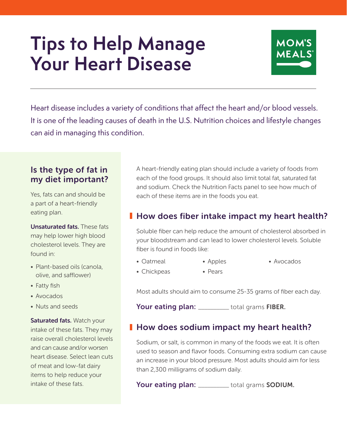# **Tips to Help Manage Your Heart Disease**



Heart disease includes a variety of conditions that affect the heart and/or blood vessels. It is one of the leading causes of death in the U.S. Nutrition choices and lifestyle changes can aid in managing this condition.

#### Is the type of fat in my diet important?

Yes, fats can and should be a part of a heart-friendly eating plan.

Unsaturated fats. These fats may help lower high blood cholesterol levels. They are found in:

- Plant-based oils (canola, olive, and safflower)
- Fatty fish
- Avocados
- Nuts and seeds

Saturated fats. Watch your intake of these fats. They may raise overall cholesterol levels and can cause and/or worsen heart disease. Select lean cuts of meat and low-fat dairy items to help reduce your intake of these fats.

A heart-friendly eating plan should include a variety of foods from each of the food groups. It should also limit total fat, saturated fat and sodium. Check the Nutrition Facts panel to see how much of each of these items are in the foods you eat.

### **How does fiber intake impact my heart health?**

Soluble fiber can help reduce the amount of cholesterol absorbed in your bloodstream and can lead to lower cholesterol levels. Soluble fiber is found in foods like:

- Oatmeal • Apples • Avocados
- Chickpeas • Pears

Most adults should aim to consume 25-35 grams of fiber each day.

Your eating plan: \_\_\_\_\_\_\_\_\_\_ total grams FIBER.

#### **How does sodium impact my heart health?**

Sodium, or salt, is common in many of the foods we eat. It is often used to season and flavor foods. Consuming extra sodium can cause an increase in your blood pressure. Most adults should aim for less than 2,300 milligrams of sodium daily.

Your eating plan: \_\_\_\_\_\_\_\_\_\_ total grams SODIUM.